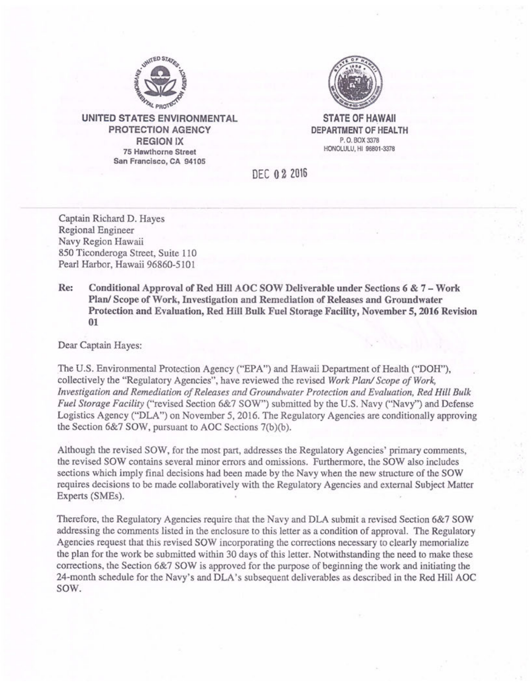

**UNITED STATES ENVIRONMENTAL PROTECTION AGENCY REGION IX 75 Hawthorne Street San Francisco, CA 94105** 



**STATE OF HAWAII DEPARTMENT OF HEALTH** P. 0. BOX 3378 HONOLULU, HI 96801-3378

DEC **O**2 <sup>2016</sup>

Captain Richard D. Hayes Regional Engineer Navy Region Hawaii 850 Ticonderoga Street, Suite 110 Pearl Harbor, Hawaii 96860-5101

**Re: Conditional Approval of Red Hill AOC SOW Deliverable under Sections 6** & **7** - **Work Plan/ Scope of Work, Investigation and Remediation of Releases and Groundwater Protection and Evaluation, Red Hill Bulk Fuel Storage Facility, November 5, 2016 Revision 01** 

Dear Captain Hayes:

The U.S. Environmental Protection Agency ("EPA") and Hawaii Department of Health ("DOH"), collectively the "Regulatory Agencies", have reviewed the revised *Work Plan/ Scope of Work, Investigation and Remediation of Releases and Groundwater Protection and Evaluation, Red Hill Bulk Fuel Storage Facility* ("revised Section 6&7 SOW") submitted by the U.S. Navy ("Navy") and Defense Logistics Agency ("DLA") on November 5, 2016. The Regulatory Agencies are conditionally approving the Section 6&7 SOW, pursuant to AOC Sections 7(b)(b).

Although the revised SOW, for the most part, addresses the Regulatory Agencies' primary comments, the revised SOW contains several minor errors and omissions. Furthermore, the SOW also includes sections which imply final decisions had been made by the Navy when the new structure of the SOW requires decisions to be made collaboratively with the Regulatory Agencies and external Subject Matter Experts (SMEs).

Therefore, the Regulatory Agencies require that the Navy and DLA submit a revised Section 6&7 SOW addressing the comments listed in the enclosure to this letter as a condition of approval. The Regulatory Agencies request that this revised SOW incorporating the corrections necessary to clearly memorialize the plan for the work be submitted within 30 days of this letter. Notwithstanding the need to make these corrections, the Section 6&7 SOW is approved for the purpose of beginning the work and initiating the 24-month schedule for the Navy's and DLA's subsequent deliverables as described in the Red Hill AOC SOW.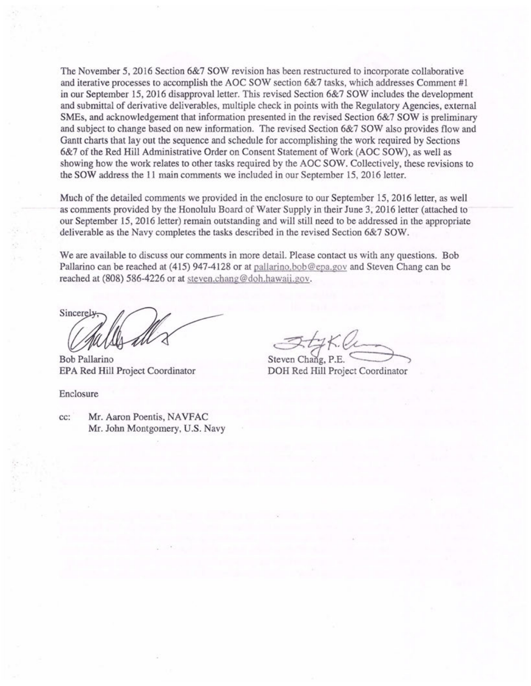The November 5, 2016 Section 6&7 SOW revision has been restructured to incorporate collaborative and iterative processes to accomplish the AOC SOW section 6&7 tasks, which addresses Comment #1 in our September 15, 2016 disapproval letter. This revised Section 6&7 SOW includes the development and submittal of derivative deliverables, multiple check in points with the Regulatory Agencies, external SMEs, and acknowledgement that information presented in the revised Section 6&7 SOW is preliminary and subject to change based on new information. The revised Section 6&7 SOW also provides flow and Gantt charts that lay out the sequence and schedule for accomplishing the work required by Sections 6&7 of the Red Hill Administrative Order on Consent Statement of Work (AOC SOW), as well as showing how the work relates to other tasks required by the AOC SOW. Collectively, these revisions to the SOW address the 11 main comments we included in our September 15, 2016 letter.

Much of the detailed comments we provided in the enclosure to our September 15, 2016 letter, as well as comments provided by the Honolulu Board of Water Supply in their June 3, 2016 letter (attached to our September 15, 2016 letter) remain outstanding and will still need to be addressed in the appropriate deliverable as the Navy completes the tasks described in the revised Section 6&7 SOW.

**We** are available to discuss our comments in more detail. Please contact us with any questions. Bob Pallarino can be reached at (415) 947-4128 or at pallarino.bob@epa.gov and Steven Chang can be reached at (808) 586-4226 or at steven.chang@doh.hawaii.gov.

Sincerely

EPA Red Hill Project Coordinator DOH Bob Pallarino

Enclosure

Steven Chang, P.E.<br>DOH Red Hill Project Coordinator

cc: Mr. Aaron Poentis, NAVFAC Mr. John Montgomery, U.S. Navy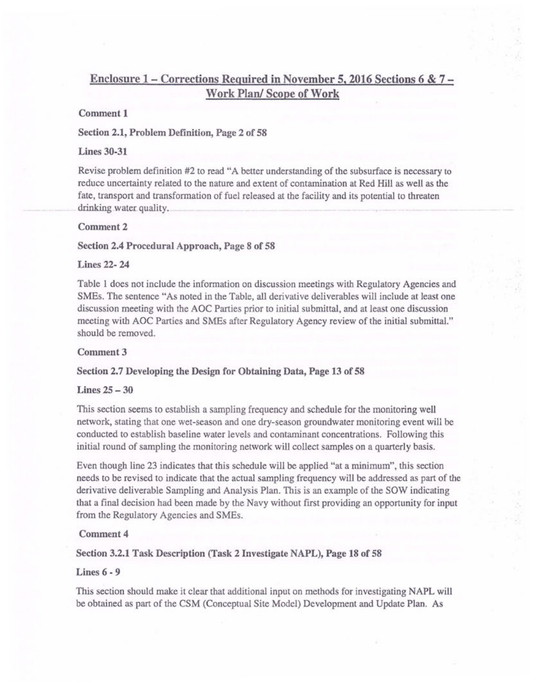# **Enclosure 1** - **Corrections Required in November 5, 2016 Sections 6** & **7 Work Plan/ Scope of Work**

### **Comment 1**

### **Section 2.1, Problem Definition, Page 2 of 58**

### **Lines 30-31**

Revise problem definition #2 to read "A better understanding of the subsurface is necessary to reduce uncertainty related to the nature and extent of contamination at Red Hill as well as the fate, transport and transformation of fuel released at the facility and its potential to threaten drinking water quality.

### Comment<sub>2</sub>

#### **Section 2.4 Procedural Approach, Page 8 of 58**

### **Lines 22- 24**

Table 1 does not include the information on discussion meetings with Regulatory Agencies and SMEs. The sentence "As noted in the Table, all derivative deliverables will include at least one discussion meeting with the AOC Parties prior to initial submittal, and at least one discussion meeting with AOC Parties and SMEs after Regulatory Agency review of the initial submittal." should be removed.

#### **Comment3**

### Section 2.7 Developing the Design for Obtaining Data, Page 13 of 58

# **Lines 25-30**

This section seems to establish a sampling frequency and schedule for the monitoring well network, stating that one wet-season and one dry-season groundwater monitoring event will be conducted to establish baseline water levels and contaminant concentrations. Following this initial round of sampling the monitoring network will collect samples on a quarterly basis.

Even though line 23 indicates that this schedule will be applied "at a minimum", this section needs to be revised to indicate that the actual sampling frequency will be addressed as part of the derivative deliverable Sampling and Analysis Plan. This is an example of the SOW indicating that a final decision had been made by the Navy without first providing an opportunity for input from the Regulatory Agencies and SMEs.

### Comment 4

#### **Section 3.2.1 Task Description (Task 2 Investigate NAPL), Page 18 of 58**

### **Lines 6** - **9**

This section should make it clear that additional input on methods for investigating NAPL will be obtained as part of the CSM (Conceptual Site Model) Development and Update Plan. As